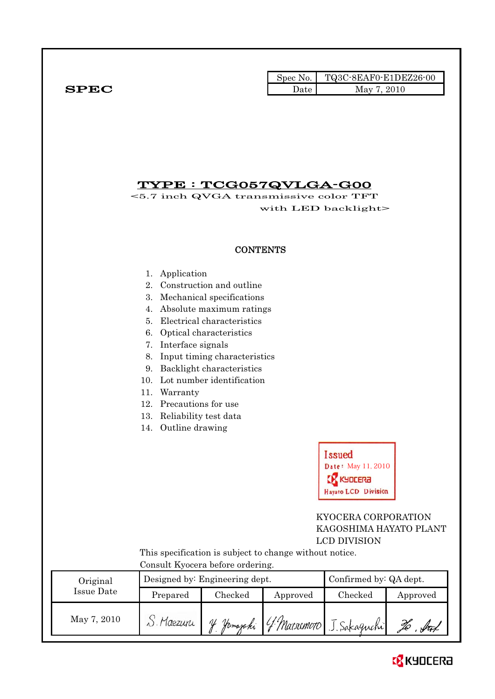|              |      | Spec No. TQ3C-8EAF0-E1DEZ26-00 |
|--------------|------|--------------------------------|
| ${\bf SPEC}$ | Date | 2010<br>May $7.$               |

## TYPE : TCG057QVLGA-G00

<5.7 inch QVGA transmissive color TFT with LED backlight>

#### **CONTENTS**

- 1. Application
- 2. Construction and outline
- 3. Mechanical specifications
- 4. Absolute maximum ratings
- 5. Electrical characteristics
- 6. Optical characteristics
- 7. Interface signals
- 8. Input timing characteristics
- 9. Backlight characteristics
- 10. Lot number identification
- 11. Warranty
- 12. Precautions for use
- 13. Reliability test data
- 14. Outline drawing



#### KYOCERA CORPORATION KAGOSHIMA HAYATO PLANT LCD DIVISION

 This specification is subject to change without notice. Consult Kyocera before ordering.

| Original    |                     | Designed by: Engineering dept. | Confirmed by: QA dept. |                          |          |
|-------------|---------------------|--------------------------------|------------------------|--------------------------|----------|
| Issue Date  | Checked<br>Prepared |                                | Approved               | Checked                  | Approved |
| May 7, 2010 | S. Maezuri          | of Jamazaki                    |                        | 4 Marsemoto J. Sakaguchi |          |

# **EX** KYOCERA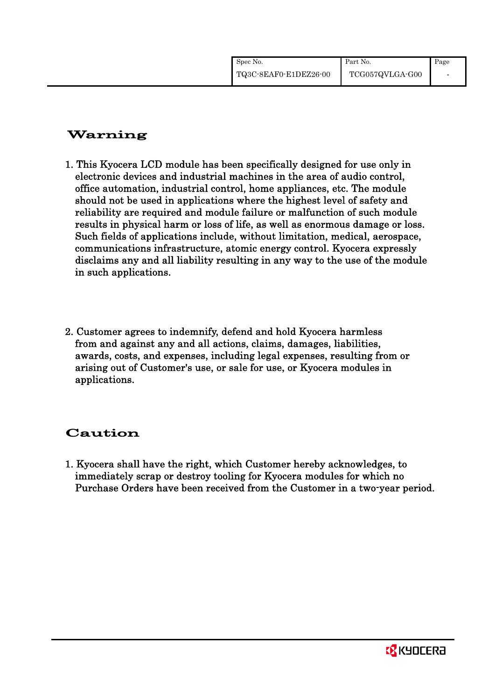| Spec No.              | Part No.        | Page |
|-----------------------|-----------------|------|
| TQ3C-8EAF0-E1DEZ26-00 | TCG057QVLGA-G00 |      |

## Warning

- 1. This Kyocera LCD module has been specifically designed for use only in electronic devices and industrial machines in the area of audio control, office automation, industrial control, home appliances, etc. The module should not be used in applications where the highest level of safety and reliability are required and module failure or malfunction of such module results in physical harm or loss of life, as well as enormous damage or loss. Such fields of applications include, without limitation, medical, aerospace, communications infrastructure, atomic energy control. Kyocera expressly disclaims any and all liability resulting in any way to the use of the module in such applications.
- 2. Customer agrees to indemnify, defend and hold Kyocera harmless from and against any and all actions, claims, damages, liabilities, awards, costs, and expenses, including legal expenses, resulting from or arising out of Customer's use, or sale for use, or Kyocera modules in applications.

## Caution

1. Kyocera shall have the right, which Customer hereby acknowledges, to immediately scrap or destroy tooling for Kyocera modules for which no Purchase Orders have been received from the Customer in a two-year period.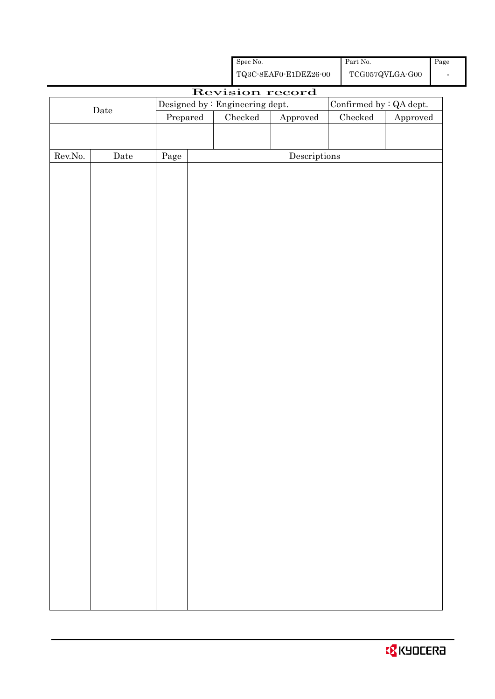|  | <b>EX</b> KYOCERA |  |
|--|-------------------|--|
|--|-------------------|--|

|                  |             |            | ${\bf TQ3C\text{-}SEAF0\text{-}E1DEZ26\text{-}00}$ |                                 |                                      |  |                 | $\operatorname{TCG057QVLGA\text{-}G00}$ |  |
|------------------|-------------|------------|----------------------------------------------------|---------------------------------|--------------------------------------|--|-----------------|-----------------------------------------|--|
|                  |             |            |                                                    |                                 | Revision record                      |  |                 |                                         |  |
|                  | Date        |            |                                                    | Designed by : Engineering dept. |                                      |  |                 | Confirmed by : QA dept.                 |  |
|                  |             | Prepared   |                                                    | ${\it Checked}$                 | Approved                             |  | ${\it Checked}$ | ${\Large\bf Approved}$                  |  |
|                  |             |            |                                                    |                                 |                                      |  |                 |                                         |  |
|                  |             |            |                                                    |                                 |                                      |  |                 |                                         |  |
| ${\rm Rev. No.}$ | $\rm{Date}$ | $\rm Page$ |                                                    |                                 | $\label{eq:2} \textbf{Descriptions}$ |  |                 |                                         |  |
|                  |             |            |                                                    |                                 |                                      |  |                 |                                         |  |
|                  |             |            |                                                    |                                 |                                      |  |                 |                                         |  |
|                  |             |            |                                                    |                                 |                                      |  |                 |                                         |  |
|                  |             |            |                                                    |                                 |                                      |  |                 |                                         |  |
|                  |             |            |                                                    |                                 |                                      |  |                 |                                         |  |
|                  |             |            |                                                    |                                 |                                      |  |                 |                                         |  |
|                  |             |            |                                                    |                                 |                                      |  |                 |                                         |  |
|                  |             |            |                                                    |                                 |                                      |  |                 |                                         |  |
|                  |             |            |                                                    |                                 |                                      |  |                 |                                         |  |
|                  |             |            |                                                    |                                 |                                      |  |                 |                                         |  |
|                  |             |            |                                                    |                                 |                                      |  |                 |                                         |  |
|                  |             |            |                                                    |                                 |                                      |  |                 |                                         |  |
|                  |             |            |                                                    |                                 |                                      |  |                 |                                         |  |
|                  |             |            |                                                    |                                 |                                      |  |                 |                                         |  |
|                  |             |            |                                                    |                                 |                                      |  |                 |                                         |  |
|                  |             |            |                                                    |                                 |                                      |  |                 |                                         |  |
|                  |             |            |                                                    |                                 |                                      |  |                 |                                         |  |
|                  |             |            |                                                    |                                 |                                      |  |                 |                                         |  |
|                  |             |            |                                                    |                                 |                                      |  |                 |                                         |  |
|                  |             |            |                                                    |                                 |                                      |  |                 |                                         |  |
|                  |             |            |                                                    |                                 |                                      |  |                 |                                         |  |
|                  |             |            |                                                    |                                 |                                      |  |                 |                                         |  |
|                  |             |            |                                                    |                                 |                                      |  |                 |                                         |  |
|                  |             |            |                                                    |                                 |                                      |  |                 |                                         |  |
|                  |             |            |                                                    |                                 |                                      |  |                 |                                         |  |
|                  |             |            |                                                    |                                 |                                      |  |                 |                                         |  |
|                  |             |            |                                                    |                                 |                                      |  |                 |                                         |  |
|                  |             |            |                                                    |                                 |                                      |  |                 |                                         |  |
|                  |             |            |                                                    |                                 |                                      |  |                 |                                         |  |
|                  |             |            |                                                    |                                 |                                      |  |                 |                                         |  |
|                  |             |            |                                                    |                                 |                                      |  |                 |                                         |  |
|                  |             |            |                                                    |                                 |                                      |  |                 |                                         |  |
|                  |             |            |                                                    |                                 |                                      |  |                 |                                         |  |

Spec No.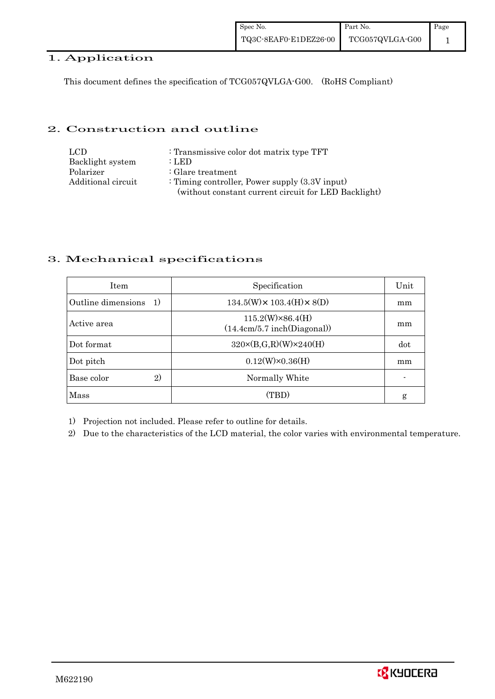### 1. Application

This document defines the specification of TCG057QVLGA-G00. (RoHS Compliant)

#### 2. Construction and outline

| LCD.               | : Transmissive color dot matrix type TFT             |
|--------------------|------------------------------------------------------|
| Backlight system   | : LED                                                |
| Polarizer          | $\therefore$ Glare treatment                         |
| Additional circuit | : Timing controller, Power supply $(3.3V)$ input)    |
|                    | (without constant current circuit for LED Backlight) |

#### 3. Mechanical specifications

| <b>Item</b>                         | Specification                                          | Unit |
|-------------------------------------|--------------------------------------------------------|------|
| Outline dimensions<br><sup>1)</sup> | $134.5(W) \times 103.4(H) \times 8(D)$                 | mm   |
| Active area                         | $115.2(W)\times86.4(H)$<br>(14.4cm/5.7 inch(Diagonal)) | mm   |
| Dot format                          | $320 \times (B,G,R)(W) \times 240(H)$                  | dot  |
| Dot pitch                           | $0.12(W)\times0.36(H)$                                 | mm   |
| Base color<br>$\mathbf{2}$          | Normally White                                         |      |
| Mass                                | (TBD)                                                  | g    |

1) Projection not included. Please refer to outline for details.

2) Due to the characteristics of the LCD material, the color varies with environmental temperature.

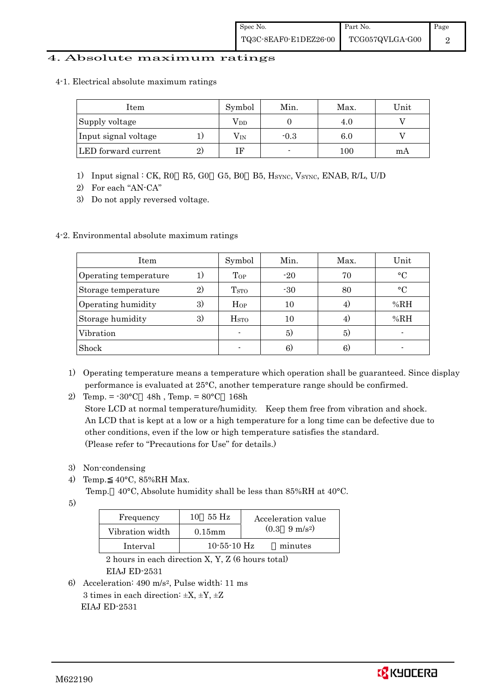#### 4. Absolute maximum ratings

4-1. Electrical absolute maximum ratings

| Item                 |    | Symbol       | Min.   | Max. | Unit |
|----------------------|----|--------------|--------|------|------|
| Supply voltage       |    | $\rm V_{DD}$ |        | 4.0  |      |
| Input signal voltage |    | $\rm V_{IN}$ | $-0.3$ | 6.0  |      |
| LED forward current  | 2) | ΙF           |        | 100  | mA   |

- 1) Input signal : CK, R0 R5, G0 G5, B0 B5, HSYNC, VSYNC, ENAB, R/L, U/D
- 2) For each "AN-CA"
- 3) Do not apply reversed voltage.

### 4-2. Environmental absolute maximum ratings

| Item                  |              | Symbol                  | Min.  | Max. | Unit      |
|-----------------------|--------------|-------------------------|-------|------|-----------|
| Operating temperature | 1)           | Top                     | $-20$ | 70   | $\circ$ C |
| Storage temperature   | $\mathbf{2}$ | <b>T</b> <sub>STO</sub> | $-30$ | 80   | $\circ$ C |
| Operating humidity    | 3)           | $H_{OP}$                | 10    | 4)   | %RH       |
| Storage humidity      | 3)           | $_{\mathrm{HSTO}}$      | 10    | 4)   | %RH       |
| Vibration             |              |                         | 5)    | 5)   |           |
| Shock                 |              |                         | 6)    | 6)   |           |

- 1) Operating temperature means a temperature which operation shall be guaranteed. Since display performance is evaluated at 25°C, another temperature range should be confirmed.
- 2) Temp. =  $-30^{\circ}$ C 48h, Temp. =  $80^{\circ}$ C 168h

 Store LCD at normal temperature/humidity. Keep them free from vibration and shock. An LCD that is kept at a low or a high temperature for a long time can be defective due to other conditions, even if the low or high temperature satisfies the standard. (Please refer to "Precautions for Use" for details.)

- 3) Non-condensing
- 4) Temp. 40°C, 85%RH Max.
	- Temp. 40°C, Absolute humidity shall be less than 85%RH at 40°C.
- 5)

| Frequency       | $55 \text{ Hz}$<br>10 | Acceleration value            |
|-----------------|-----------------------|-------------------------------|
| Vibration width | $0.15$ mm             | $(0.3 \quad 9 \text{ m/s}^2)$ |
| Interval        | $10 - 55 - 10$ Hz     | minutes                       |

 2 hours in each direction X, Y, Z (6 hours total) EIAJ ED-2531

6) Acceleration: 490 m/s2, Pulse width: 11 ms 3 times in each direction:  $\pm X$ ,  $\pm Y$ ,  $\pm Z$ EIAJ ED-2531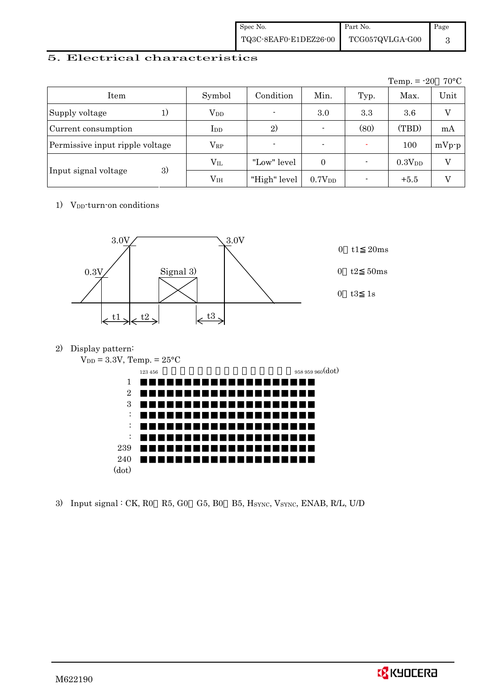| Spec No.              | Part No.        | Page |
|-----------------------|-----------------|------|
| TQ3C-8EAF0-E1DEZ26-00 | TCG057QVLGA-G00 |      |

### 5. Electrical characteristics

|                                 |                        |                |                          |      | Temp. $= -20$      | $70^{\circ}$ C |
|---------------------------------|------------------------|----------------|--------------------------|------|--------------------|----------------|
| Item                            | Symbol                 | Condition      | Min.                     | Typ. | Max.               | Unit           |
| Supply voltage                  | <b>V</b> <sub>DD</sub> | $\blacksquare$ | 3.0                      | 3.3  | 3.6                | $\overline{V}$ |
| Current consumption             | $_{\rm{LDD}}$          | 2)             | $\overline{\phantom{0}}$ | (80) | (TBD)              | mA             |
| Permissive input ripple voltage | $\rm V_{RP}$           |                |                          |      | 100                | $mVp-p$        |
|                                 | $\rm V_{II}$           | "Low" level    | $\Omega$                 |      | 0.3V <sub>DD</sub> | V              |
| 3)<br>Input signal voltage      | V <sub>IH</sub>        | "High" level   | 0.7V <sub>DD</sub>       |      | $+5.5$             | V              |

1) V<sub>DD</sub>-turn-on conditions



2) Display pattern:

 $V_{DD} = 3.3V$ , Temp. =  $25^{\circ}$ C



3) Input signal : CK, R0 R5, G0 G5, B0 B5, HSYNC, VSYNC, ENAB, R/L, U/D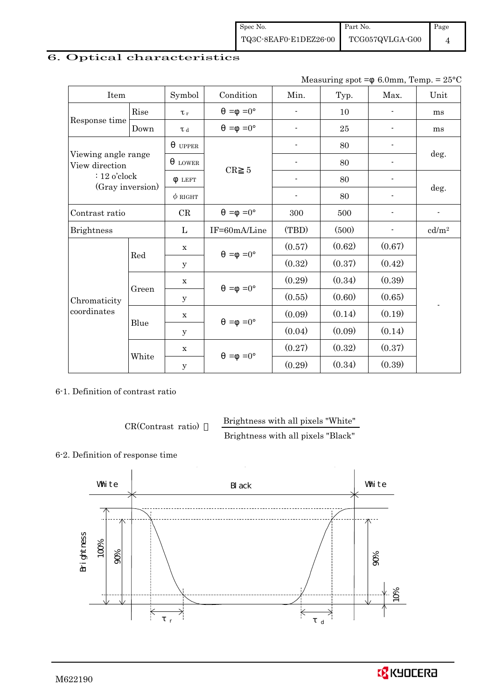## 6. Optical characteristics

| Measuring spot = $6.0$ mm, Temp. = $25^{\circ}$ C |  |  |  |  |
|---------------------------------------------------|--|--|--|--|
|---------------------------------------------------|--|--|--|--|

| Item                                  |                         | Symbol       | Condition            | Min.                     | Typ.   | Max.                     | Unit              |
|---------------------------------------|-------------------------|--------------|----------------------|--------------------------|--------|--------------------------|-------------------|
|                                       | Rise                    | $\tau_r$     | $=0^{\circ}$<br>$=$  | $\overline{a}$           | 10     |                          | ms                |
| Response time                         | Down                    | T d          | $=0^{\circ}$<br>$=$  | ٠                        | 25     |                          | ms                |
|                                       |                         | <b>UPPER</b> |                      | ۰                        | 80     |                          |                   |
| Viewing angle range<br>View direction |                         | <b>LOWER</b> | CR<br>$\overline{5}$ |                          | 80     |                          | deg.              |
| $: 12$ o'clock                        |                         | <b>LEFT</b>  |                      | $\overline{\phantom{a}}$ | 80     | $\overline{\phantom{a}}$ |                   |
| (Gray inversion)                      |                         | $\phi$ right |                      | $\overline{\phantom{0}}$ | 80     |                          | deg.              |
| Contrast ratio                        |                         | CR           | $=0^{\circ}$<br>$=$  | 300                      | 500    |                          |                   |
| <b>Brightness</b>                     |                         | L            | IF=60mA/Line         | (TBD)<br>(500)           |        |                          | cd/m <sup>2</sup> |
|                                       | $\mathbf x$<br>Red<br>У |              | $=$ =0 $^{\circ}$    | (0.57)                   | (0.62) | (0.67)                   |                   |
| Chromaticity<br>coordinates           |                         |              |                      | (0.32)                   | (0.37) | (0.42)                   |                   |
|                                       |                         | $\mathbf X$  | $=0^{\circ}$<br>$=$  | (0.29)                   | (0.34) | (0.39)                   |                   |
|                                       | Green                   | у            |                      | (0.55)                   | (0.60) | (0.65)                   |                   |
|                                       |                         | $\mathbf X$  | $=0^{\circ}$<br>$=$  | (0.09)                   | (0.14) | (0.19)                   |                   |
|                                       | Blue                    | У            |                      | (0.04)                   | (0.09) | (0.14)                   |                   |
|                                       | White                   | $\mathbf x$  | $=0^{\circ}$<br>$=$  | (0.27)                   | (0.32) | (0.37)                   |                   |
|                                       |                         | У            |                      | (0.29)                   | (0.34) | (0.39)                   |                   |

6-1. Definition of contrast ratio

CR(Contrast ratio) Brightness with all pixels "White"

Brightness with all pixels "Black"

#### 6-2. Definition of response time

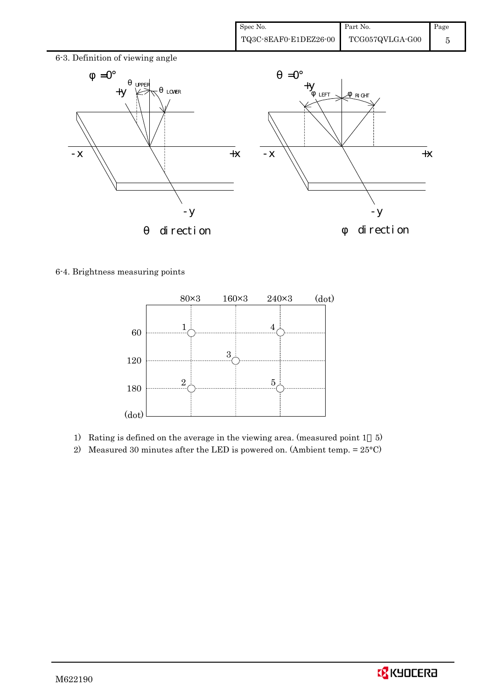

6-4. Brightness measuring points



- 1) Rating is defined on the average in the viewing area. (measured point 1 5)
- 2) Measured 30 minutes after the LED is powered on. (Ambient temp. = 25°C)

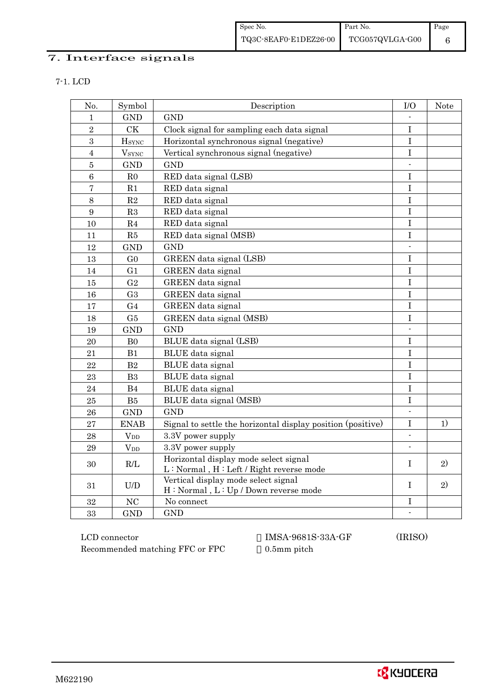## 7. Interface signals

| I |  |  |  |  |  |
|---|--|--|--|--|--|
|---|--|--|--|--|--|

| No.            | Symbol         | Description                                                                        | I/O                      | Note |
|----------------|----------------|------------------------------------------------------------------------------------|--------------------------|------|
| 1              | <b>GND</b>     | <b>GND</b>                                                                         |                          |      |
| $\overline{2}$ | <b>CK</b>      | Clock signal for sampling each data signal                                         | I                        |      |
| 3              | $H_{\rm SYNC}$ | Horizontal synchronous signal (negative)                                           | $\bf I$                  |      |
| $\overline{4}$ | $V_{\rm SYNC}$ | Vertical synchronous signal (negative)                                             | $\mathbf I$              |      |
| $\overline{5}$ | <b>GND</b>     | <b>GND</b>                                                                         | $\blacksquare$           |      |
| 6              | R <sub>0</sub> | RED data signal (LSB)                                                              | $\mathbf I$              |      |
| 7              | R1             | RED data signal                                                                    | I                        |      |
| 8              | $\mathbf{R}2$  | RED data signal                                                                    | $\mathbf I$              |      |
| 9              | R3             | RED data signal                                                                    | $\overline{I}$           |      |
| 10             | R <sub>4</sub> | RED data signal                                                                    | $\mathbf I$              |      |
| 11             | R5             | RED data signal (MSB)                                                              | $\rm I$                  |      |
| 12             | <b>GND</b>     | <b>GND</b>                                                                         | $\overline{\phantom{a}}$ |      |
| 13             | G <sub>0</sub> | GREEN data signal (LSB)                                                            | Ι                        |      |
| 14             | G1             | GREEN data signal                                                                  | I                        |      |
| 15             | G <sub>2</sub> | GREEN data signal                                                                  | $\mathbf I$              |      |
| 16             | G <sub>3</sub> | GREEN data signal                                                                  | I                        |      |
| 17             | G <sub>4</sub> | GREEN data signal                                                                  | I                        |      |
| 18             | G5             | GREEN data signal (MSB)                                                            | I                        |      |
| 19             | <b>GND</b>     | <b>GND</b>                                                                         |                          |      |
| 20             | ${\rm B}0$     | BLUE data signal (LSB)                                                             | I                        |      |
| 21             | B1             | BLUE data signal                                                                   | $\bf I$                  |      |
| 22             | B <sub>2</sub> | BLUE data signal                                                                   | I                        |      |
| 23             | B <sub>3</sub> | BLUE data signal                                                                   | I                        |      |
| 24             | B4             | BLUE data signal                                                                   | $\mathbf I$              |      |
| 25             | ${\rm B}5$     | BLUE data signal (MSB)                                                             | $\bf I$                  |      |
| 26             | <b>GND</b>     | <b>GND</b>                                                                         | $\overline{\phantom{a}}$ |      |
| 27             | <b>ENAB</b>    | Signal to settle the horizontal display position (positive)                        | $\mathbf I$              | 1)   |
| 28             | $V_{DD}$       | 3.3V power supply                                                                  | $\overline{\phantom{a}}$ |      |
| 29             | $V_{DD}$       | 3.3V power supply                                                                  | $\mathbb{Z}^2$           |      |
| 30             | R/L            | Horizontal display mode select signal<br>$L: Normal, H: Left / Right reverse mode$ | Ι                        | 2)   |
| 31             | U/D            | Vertical display mode select signal<br>H: Normal, L: Up / Down reverse mode        | T                        | 2)   |
| 32             | <b>NC</b>      | No connect                                                                         | Ι                        |      |
| 33             | <b>GND</b>     | <b>GND</b>                                                                         |                          |      |

 LCD connector IMSA-9681S-33A-GF (IRISO) Recommended matching FFC or FPC 0.5mm pitch

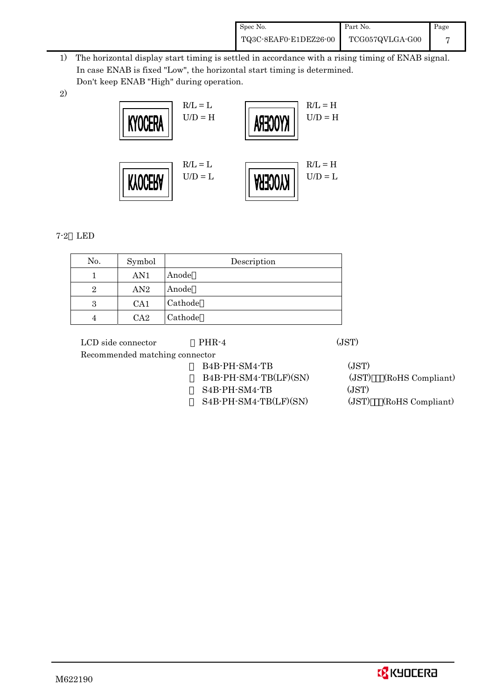| Spec No.              | Part No.        | Page |
|-----------------------|-----------------|------|
| TQ3C-8EAF0-E1DEZ26-00 | TCG057QVLGA-G00 |      |

- 1) The horizontal display start timing is settled in accordance with a rising timing of ENAB signal. In case ENAB is fixed "Low", the horizontal start timing is determined. Don't keep ENAB "High" during operation.
- 2)



## 7-2 LED

| No. | Symbol | Description |
|-----|--------|-------------|
|     | AN1    | Anode       |
| 2   | AN2    | Anode       |
| 3   | CA1    | Cathode     |
|     | CA2    | Cathode     |

| LCD side connector             | PHR-4                                   | (JST) |                  |
|--------------------------------|-----------------------------------------|-------|------------------|
| Recommended matching connector |                                         |       |                  |
|                                | B <sub>4</sub> B-PH-SM <sub>4</sub> -TB | (JST) |                  |
|                                | B4B-PH-SM4-TB(LF)(SN)                   | (JST) | (RoHS Compliant) |
|                                | $S4B-PH-SM4-TB$                         | (JST) |                  |
|                                | S4B-PH-SM4-TB(LF)(SN)                   | (JST) | (RoHS Compliant) |
|                                |                                         |       |                  |

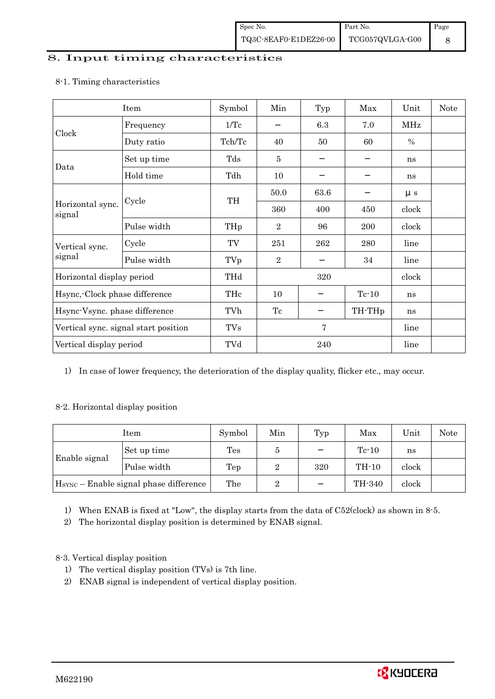#### 8. Input timing characteristics

## Item Symbol Min Typ Max Unit Note Frequency 1/Tc 6.3 7.0 MHz Clock Duty ratio 1 Tch/Tc  $\begin{array}{|c|c|c|c|c|c|} \hline \end{array}$  Tch/Tc  $\begin{array}{|c|c|c|c|c|c|} \hline \end{array}$  40  $\begin{array}{|c|c|c|c|c|} \hline \end{array}$  50  $\begin{array}{|c|c|c|c|c|} \hline \end{array}$  % Set up time Tds 5 1 ns Data Hold time Tdh 10 ns 50.0 63.6 μs Cycle TH Horizontal sync. Cycle TH 360 400 450 clock signal Pulse width  $THp \mid 2 \mid 96 \mid 200 \mid clock$ Cycle TV 251 262 280 line Vertical sync. signal Pulse width TVp 2 34 line Horizontal display period THd 320 clock Hsync,-Clock phase difference THc 10 Tc-10 ns Hsync-Vsync. phase difference TVh Tc Tc TH-THp ns Vertical sync. signal start position TVs 7 line Vertical display period  $\overline{Y}$  TVd  $\overline{Z}$  240 line

#### 8-1. Timing characteristics

1) In case of lower frequency, the deterioration of the display quality, flicker etc., may occur.

#### 8-2. Horizontal display position

| Item                                               |             | Symbol         | Min | Typ | Max     | Unit  | Note |
|----------------------------------------------------|-------------|----------------|-----|-----|---------|-------|------|
| Enable signal                                      | Set up time | $\mathrm{Tes}$ |     |     | $Tc-10$ | ns    |      |
|                                                    | Pulse width | Tep            | 2   | 320 | TH-10   | clock |      |
| H <sub>SYNC</sub> - Enable signal phase difference |             | The            | ິ   |     | TH-340  | clock |      |

1) When ENAB is fixed at "Low", the display starts from the data of C52(clock) as shown in 8-5.

2) The horizontal display position is determined by ENAB signal.

## 8-3. Vertical display position

- 1) The vertical display position (TVs) is 7th line.
- 2) ENAB signal is independent of vertical display position.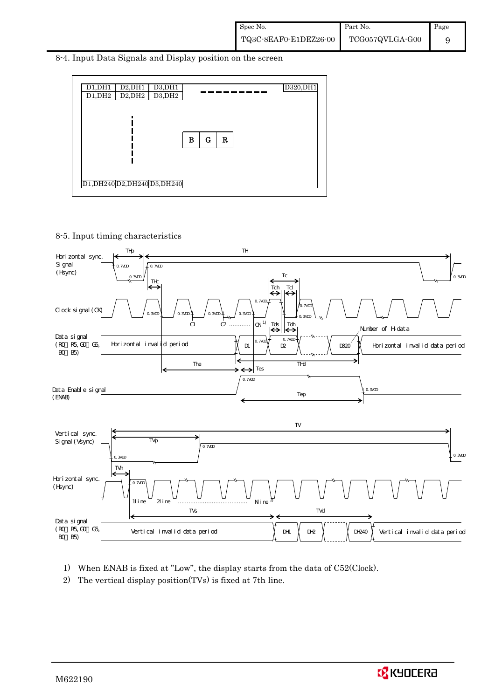8-4. Input Data Signals and Display position on the screen



8-5. Input timing characteristics



- 1) When ENAB is fixed at "Low", the display starts from the data of C52(Clock).
- 2) The vertical display position(TVs) is fixed at 7th line.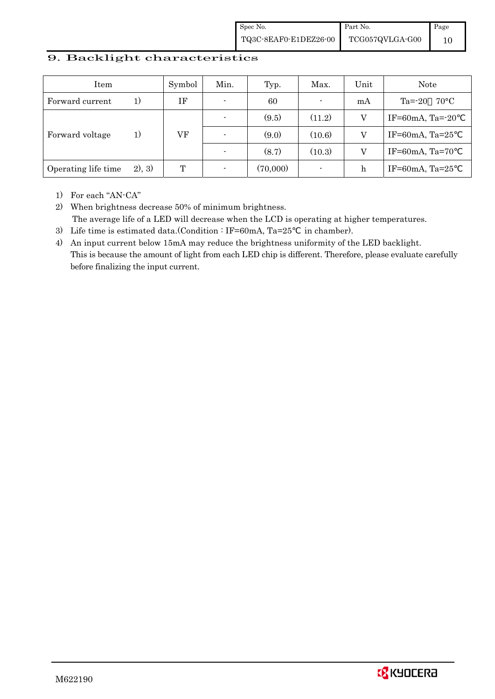#### 9. Backlight characteristics

| Item                |        | Symbol | Min.                     | Typ.     | Max.                     | Unit | Note                        |
|---------------------|--------|--------|--------------------------|----------|--------------------------|------|-----------------------------|
| Forward current     | 1)     | IF     | $\overline{\phantom{0}}$ | 60       | $\overline{\phantom{a}}$ | mA   | Ta= $-20$<br>$70^{\circ}$ C |
|                     |        |        |                          | (9.5)    | (11.2)                   | V    | IF=60mA, Ta= $-20$          |
| Forward voltage     | 1)     | VF     | $\overline{\phantom{0}}$ | (9.0)    | (10.6)                   | V    | IF=60mA, Ta= $25$           |
|                     |        |        |                          | (8.7)    | (10.3)                   | V    | IF=60mA, Ta=70              |
| Operating life time | 2), 3) | T      | $\overline{\phantom{0}}$ | (70,000) | $\overline{\phantom{a}}$ | h    | IF=60mA, Ta= $25$           |

1) For each "AN-CA"

2) When brightness decrease 50% of minimum brightness. The average life of a LED will decrease when the LCD is operating at higher temperatures.

- 3) Life time is estimated data.(Condition : IF=60mA, Ta=25 in chamber).
- 4) An input current below 15mA may reduce the brightness uniformity of the LED backlight. This is because the amount of light from each LED chip is different. Therefore, please evaluate carefully before finalizing the input current.

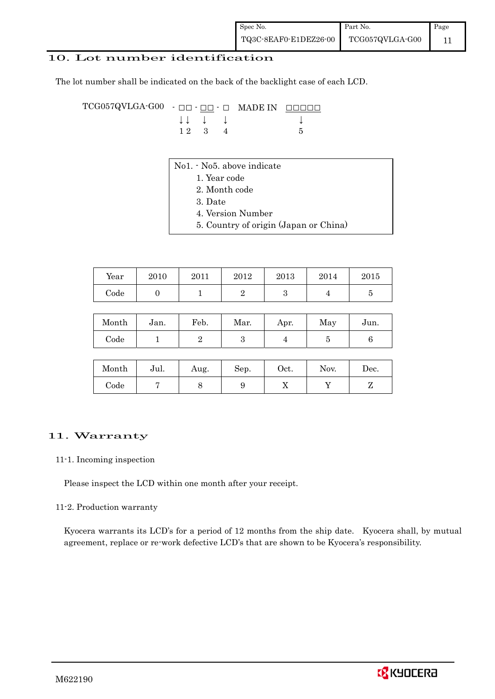| Spec No.              | Part No.        | Page |
|-----------------------|-----------------|------|
| TQ3C-8EAF0-E1DEZ26-00 | TCG057QVLGA-G00 |      |

#### 10. Lot number identification

The lot number shall be indicated on the back of the backlight case of each LCD.

TCG057QVLGA-G00 - □□ - □□ - □ MADE IN □□□□□ ↓ ↓ ↓ ↓ ↓  $1 2 3 4 5$ 

- No1. No5. above indicate
	- 1. Year code
	- 2. Month code
	- 3. Date
	- 4. Version Number
	- 5. Country of origin (Japan or China)

| Year | 2010 | 2011 | 2012 | 2013 | 2014 | 2015 |
|------|------|------|------|------|------|------|
| Code |      |      |      | ഄ    |      |      |

| Month | Jan. | Feb. | Mar. | Apr. | May | Jun. |
|-------|------|------|------|------|-----|------|
| Code  |      |      |      |      |     |      |

| Month      | Jul. | Aug. | Sep. | Oct. | Nov. | $\operatorname{Dec.}$ |
|------------|------|------|------|------|------|-----------------------|
| $\rm Code$ |      |      |      | ∡⊾   |      |                       |

#### 11. Warranty

#### 11-1. Incoming inspection

Please inspect the LCD within one month after your receipt.

#### 11-2. Production warranty

 Kyocera warrants its LCD's for a period of 12 months from the ship date. Kyocera shall, by mutual agreement, replace or re-work defective LCD's that are shown to be Kyocera's responsibility.

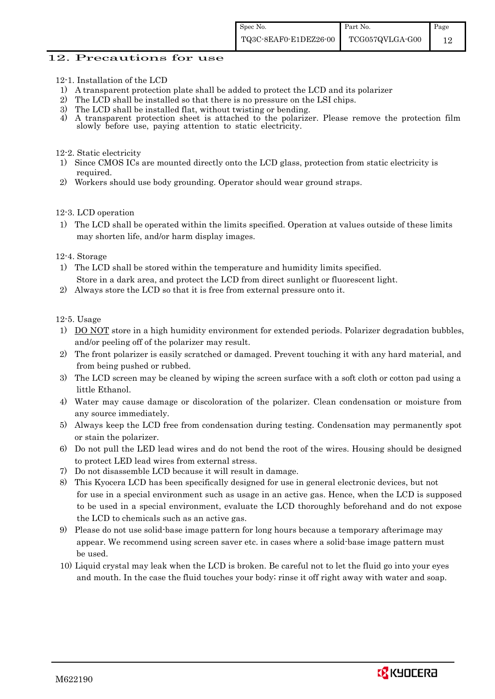#### 12. Precautions for use

- 12-1. Installation of the LCD
- 1) A transparent protection plate shall be added to protect the LCD and its polarizer
- 2) The LCD shall be installed so that there is no pressure on the LSI chips.
- 3) The LCD shall be installed flat, without twisting or bending.
- 4) A transparent protection sheet is attached to the polarizer. Please remove the protection film slowly before use, paying attention to static electricity.

#### 12-2. Static electricity

- 1) Since CMOS ICs are mounted directly onto the LCD glass, protection from static electricity is required.
- 2) Workers should use body grounding. Operator should wear ground straps.

#### 12-3. LCD operation

1) The LCD shall be operated within the limits specified. Operation at values outside of these limits may shorten life, and/or harm display images.

#### 12-4. Storage

- 1) The LCD shall be stored within the temperature and humidity limits specified. Store in a dark area, and protect the LCD from direct sunlight or fluorescent light.
- 2) Always store the LCD so that it is free from external pressure onto it.

12-5. Usage

- 1) DO NOT store in a high humidity environment for extended periods. Polarizer degradation bubbles, and/or peeling off of the polarizer may result.
- 2) The front polarizer is easily scratched or damaged. Prevent touching it with any hard material, and from being pushed or rubbed.
- 3) The LCD screen may be cleaned by wiping the screen surface with a soft cloth or cotton pad using a little Ethanol.
- 4) Water may cause damage or discoloration of the polarizer. Clean condensation or moisture from any source immediately.
- 5) Always keep the LCD free from condensation during testing. Condensation may permanently spot or stain the polarizer.
- 6) Do not pull the LED lead wires and do not bend the root of the wires. Housing should be designed to protect LED lead wires from external stress.
- 7) Do not disassemble LCD because it will result in damage.
- 8) This Kyocera LCD has been specifically designed for use in general electronic devices, but not for use in a special environment such as usage in an active gas. Hence, when the LCD is supposed to be used in a special environment, evaluate the LCD thoroughly beforehand and do not expose the LCD to chemicals such as an active gas.
- 9) Please do not use solid-base image pattern for long hours because a temporary afterimage may appear. We recommend using screen saver etc. in cases where a solid-base image pattern must be used.
- 10) Liquid crystal may leak when the LCD is broken. Be careful not to let the fluid go into your eyes and mouth. In the case the fluid touches your body; rinse it off right away with water and soap.

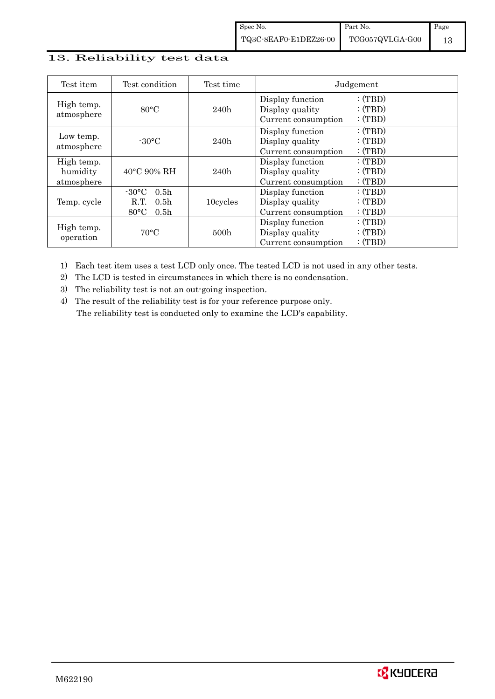### 13. Reliability test data

| Test item                            | Test condition                                                                                        | Test time |                                                            | Judgement                  |
|--------------------------------------|-------------------------------------------------------------------------------------------------------|-----------|------------------------------------------------------------|----------------------------|
| High temp.<br>atmosphere             | $80^{\circ}$ C                                                                                        | 240h      | Display function<br>Display quality<br>Current consumption | :(TBD)<br>:(TBD)<br>:(TBD) |
| Low temp.<br>atmosphere              | $-30^{\circ}$ C                                                                                       | 240h      | Display function<br>Display quality<br>Current consumption | :(TBD)<br>:(TBD)<br>:(TBD) |
| High temp.<br>humidity<br>atmosphere | $40^{\circ}$ C 90% RH                                                                                 | 240h      | Display function<br>Display quality<br>Current consumption | :(TBD)<br>:(TBD)<br>:(TBD) |
| Temp. cycle                          | $-30^{\circ}$ C<br>0.5 <sub>h</sub><br>0.5 <sub>h</sub><br>R.T.<br>$80^{\circ}$ C<br>0.5 <sub>h</sub> | 10cycles  | Display function<br>Display quality<br>Current consumption | :(TBD)<br>:(TBD)<br>:(TBD) |
| High temp.<br>operation              | $70^{\circ}$ C                                                                                        | 500h      | Display function<br>Display quality<br>Current consumption | :(TBD)<br>:(TBD)<br>:(TBD) |

1) Each test item uses a test LCD only once. The tested LCD is not used in any other tests.

2) The LCD is tested in circumstances in which there is no condensation.

3) The reliability test is not an out-going inspection.

4) The result of the reliability test is for your reference purpose only. The reliability test is conducted only to examine the LCD's capability.

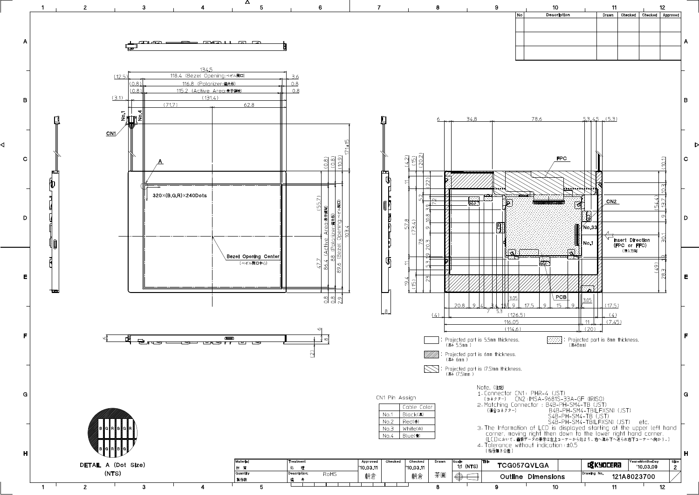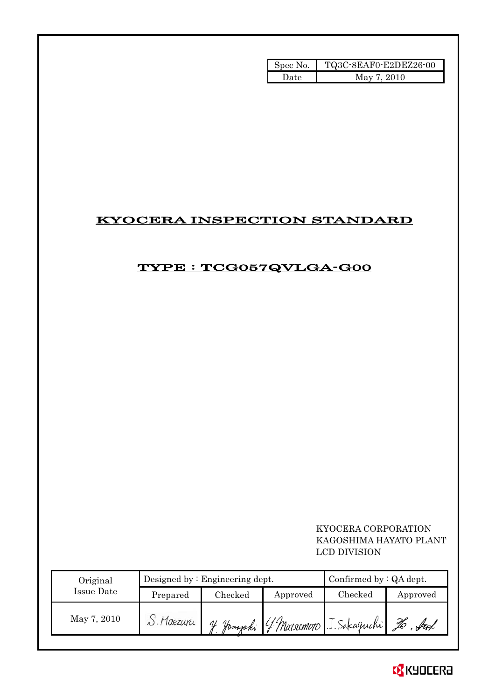| Spec No. | TQ3C-8EAF0-E2DEZ26-00 |
|----------|-----------------------|
| Date     | May 7, 2010           |

## KYOCERA INSPECTION STANDARD

## TYPE : TCG057QVLGA-G00

 KYOCERA CORPORATION KAGOSHIMA HAYATO PLANT LCD DIVISION

| Original    |          | Designed by $:$ Engineering dept. |          | Confirmed by : QA dept.     |          |  |
|-------------|----------|-----------------------------------|----------|-----------------------------|----------|--|
| Issue Date  | Prepared | Checked                           | Approved | $\rm Checked$               | Approved |  |
| May 7, 2010 | Maezuri  | Homazaki                          |          | 4 Marsomoro J. Sakaguchi 26 |          |  |

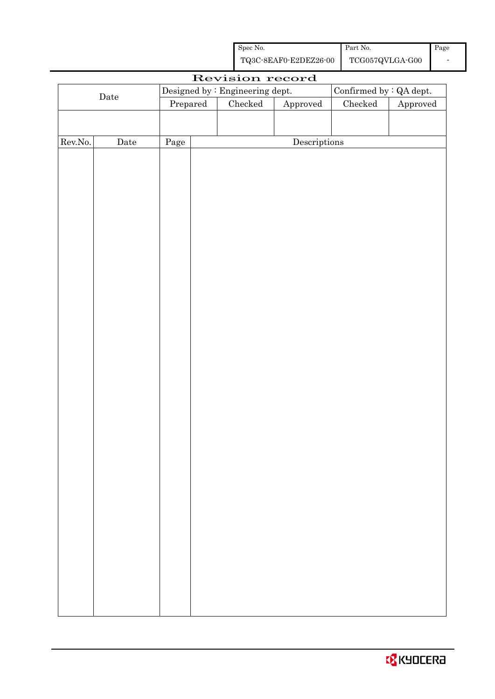| Spec No.              | Part No.        | Page |
|-----------------------|-----------------|------|
| TQ3C-8EAF0-E2DEZ26-00 | TCG057QVLGA-G00 |      |

|         |                      |                     |  | Revision record                 |                        |                          |          |
|---------|----------------------|---------------------|--|---------------------------------|------------------------|--------------------------|----------|
|         |                      |                     |  | Designed by : Engineering dept. |                        | Confirmed by $:QA$ dept. |          |
|         | $\rm{\textbf{Date}}$ | Checked<br>Prepared |  |                                 | ${\Large\bf Approved}$ | $\rm Checked$            | Approved |
|         |                      |                     |  |                                 |                        |                          |          |
|         |                      |                     |  |                                 |                        |                          |          |
| Rev.No. | $\rm{Date}$          | Page                |  |                                 | Descriptions           |                          |          |
|         |                      |                     |  |                                 |                        |                          |          |
|         |                      |                     |  |                                 |                        |                          |          |
|         |                      |                     |  |                                 |                        |                          |          |
|         |                      |                     |  |                                 |                        |                          |          |
|         |                      |                     |  |                                 |                        |                          |          |
|         |                      |                     |  |                                 |                        |                          |          |
|         |                      |                     |  |                                 |                        |                          |          |
|         |                      |                     |  |                                 |                        |                          |          |
|         |                      |                     |  |                                 |                        |                          |          |
|         |                      |                     |  |                                 |                        |                          |          |
|         |                      |                     |  |                                 |                        |                          |          |
|         |                      |                     |  |                                 |                        |                          |          |
|         |                      |                     |  |                                 |                        |                          |          |
|         |                      |                     |  |                                 |                        |                          |          |
|         |                      |                     |  |                                 |                        |                          |          |
|         |                      |                     |  |                                 |                        |                          |          |
|         |                      |                     |  |                                 |                        |                          |          |
|         |                      |                     |  |                                 |                        |                          |          |
|         |                      |                     |  |                                 |                        |                          |          |
|         |                      |                     |  |                                 |                        |                          |          |
|         |                      |                     |  |                                 |                        |                          |          |
|         |                      |                     |  |                                 |                        |                          |          |
|         |                      |                     |  |                                 |                        |                          |          |
|         |                      |                     |  |                                 |                        |                          |          |
|         |                      |                     |  |                                 |                        |                          |          |
|         |                      |                     |  |                                 |                        |                          |          |
|         |                      |                     |  |                                 |                        |                          |          |
|         |                      |                     |  |                                 |                        |                          |          |
|         |                      |                     |  |                                 |                        |                          |          |
|         |                      |                     |  |                                 |                        |                          |          |
|         |                      |                     |  |                                 |                        |                          |          |
|         |                      |                     |  |                                 |                        |                          |          |
|         |                      |                     |  |                                 |                        |                          |          |
|         |                      |                     |  |                                 |                        |                          |          |
|         |                      |                     |  |                                 |                        |                          |          |
|         |                      |                     |  |                                 |                        |                          |          |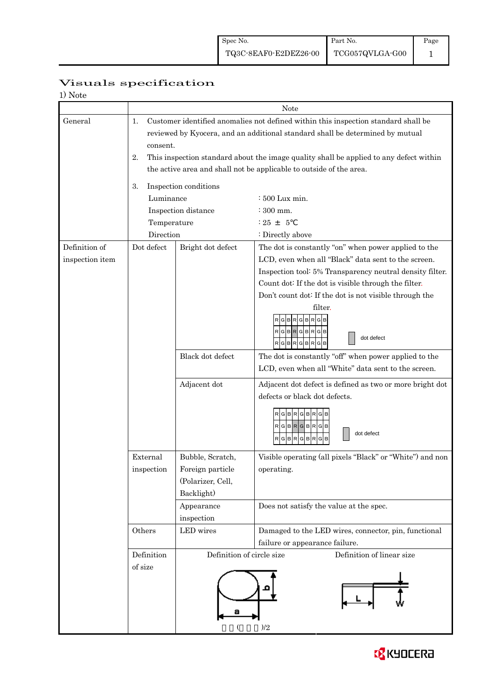| 1) Note                          |                                                                                                                                                                                                                                                                                                                                                              |                                                                                                     |                                                                                                                                                                                                                                                                                                                                                                                                                                                                                                                                                                       |  |  |  |  |
|----------------------------------|--------------------------------------------------------------------------------------------------------------------------------------------------------------------------------------------------------------------------------------------------------------------------------------------------------------------------------------------------------------|-----------------------------------------------------------------------------------------------------|-----------------------------------------------------------------------------------------------------------------------------------------------------------------------------------------------------------------------------------------------------------------------------------------------------------------------------------------------------------------------------------------------------------------------------------------------------------------------------------------------------------------------------------------------------------------------|--|--|--|--|
|                                  |                                                                                                                                                                                                                                                                                                                                                              |                                                                                                     | Note                                                                                                                                                                                                                                                                                                                                                                                                                                                                                                                                                                  |  |  |  |  |
| General                          | Customer identified anomalies not defined within this inspection standard shall be<br>1.<br>reviewed by Kyocera, and an additional standard shall be determined by mutual<br>consent.<br>This inspection standard about the image quality shall be applied to any defect within<br>2.<br>the active area and shall not be applicable to outside of the area. |                                                                                                     |                                                                                                                                                                                                                                                                                                                                                                                                                                                                                                                                                                       |  |  |  |  |
|                                  | 3.<br>Luminance<br>Temperature<br>Direction                                                                                                                                                                                                                                                                                                                  | Inspection conditions<br>Inspection distance                                                        | $\div 500$ Lux min.<br>$:300$ mm.<br>$: 25 + 5$<br>: Directly above                                                                                                                                                                                                                                                                                                                                                                                                                                                                                                   |  |  |  |  |
| Definition of<br>inspection item | Dot defect                                                                                                                                                                                                                                                                                                                                                   | Bright dot defect<br>Black dot defect<br>Adjacent dot                                               | The dot is constantly "on" when power applied to the<br>LCD, even when all "Black" data sent to the screen.<br>Inspection tool: 5% Transparency neutral density filter.<br>Count dot: If the dot is visible through the filter.<br>Don't count dot: If the dot is not visible through the<br>filter.<br>$R$ G $B$ R $G$ B $R$<br>dot defect<br>RGBRGBRGB<br>The dot is constantly "off" when power applied to the<br>LCD, even when all "White" data sent to the screen.<br>Adjacent dot defect is defined as two or more bright dot<br>defects or black dot defects. |  |  |  |  |
|                                  | External<br>inspection                                                                                                                                                                                                                                                                                                                                       | Bubble, Scratch,<br>Foreign particle<br>(Polarizer, Cell,<br>Backlight)<br>Appearance<br>inspection | RGBRGBR<br>G<br>$RG$ B $RG$ B $RG$ B<br>dot defect<br>RGBRGBR<br>G<br>Visible operating (all pixels "Black" or "White") and non<br>operating.<br>Does not satisfy the value at the spec.                                                                                                                                                                                                                                                                                                                                                                              |  |  |  |  |
|                                  | Others<br>Definition<br>of size                                                                                                                                                                                                                                                                                                                              | LED wires<br>Definition of circle size<br>а                                                         | Damaged to the LED wires, connector, pin, functional<br>failure or appearance failure.<br>Definition of linear size<br>)/2                                                                                                                                                                                                                                                                                                                                                                                                                                            |  |  |  |  |